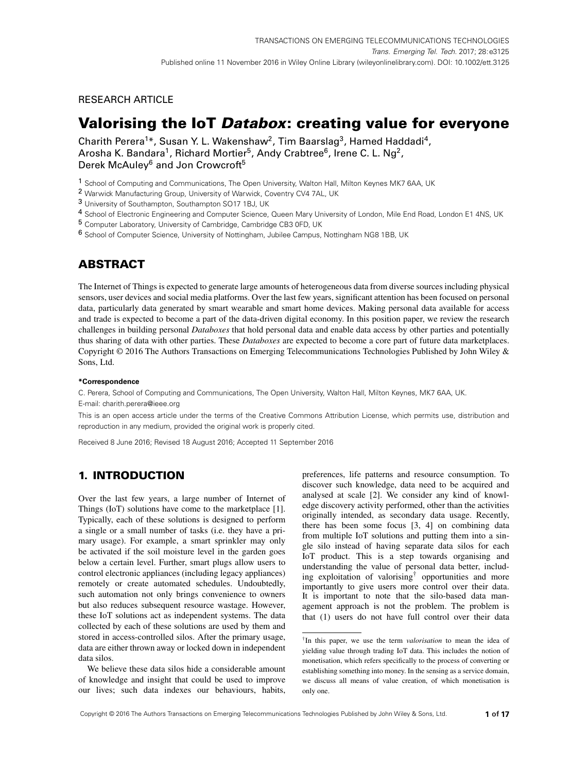## RESEARCH ARTICLE

# **Valorising the IoT Databox: creating value for everyone**

Charith Perera<sup>1\*</sup>, Susan Y. L. Wakenshaw<sup>2</sup>, Tim Baarslag<sup>3</sup>, Hamed Haddadi<sup>4</sup>, Arosha K. Bandara<sup>1</sup>, Richard Mortier<sup>5</sup>, Andy Crabtree<sup>6</sup>, Irene C. L. Ng<sup>2</sup>, Derek McAuley<sup>6</sup> and Jon Crowcroft<sup>5</sup>

1 School of Computing and Communications, The Open University, Walton Hall, Milton Keynes MK7 6AA, UK

2 Warwick Manufacturing Group, University of Warwick, Coventry CV4 7AL, UK

3 University of Southampton, Southampton SO17 1BJ, UK

4 School of Electronic Engineering and Computer Science, Queen Mary University of London, Mile End Road, London E1 4NS, UK

5 Computer Laboratory, University of Cambridge, Cambridge CB3 0FD, UK

6 School of Computer Science, University of Nottingham, Jubilee Campus, Nottingham NG8 1BB, UK

## **ABSTRACT**

The Internet of Things is expected to generate large amounts of heterogeneous data from diverse sources including physical sensors, user devices and social media platforms. Over the last few years, significant attention has been focused on personal data, particularly data generated by smart wearable and smart home devices. Making personal data available for access and trade is expected to become a part of the data-driven digital economy. In this position paper, we review the research challenges in building personal *Databoxes* that hold personal data and enable data access by other parties and potentially thus sharing of data with other parties. These *Databoxes* are expected to become a core part of future data marketplaces. Copyright © 2016 The Authors Transactions on Emerging Telecommunications Technologies Published by John Wiley & Sons, Ltd.

#### **\*Correspondence**

C. Perera, School of Computing and Communications, The Open University, Walton Hall, Milton Keynes, MK7 6AA, UK. E-mail: charith.perera@ieee.org

This is an open access article under the terms of the [Creative Commons Attribution](http://creativecommons.org/licenses/by/4.0/) License, which permits use, distribution and reproduction in any medium, provided the original work is properly cited.

Received 8 June 2016; Revised 18 August 2016; Accepted 11 September 2016

## **1. INTRODUCTION**

Over the last few years, a large number of Internet of Things (IoT) solutions have come to the marketplace [\[1\]](#page-14-0). Typically, each of these solutions is designed to perform a single or a small number of tasks (i.e. they have a primary usage). For example, a smart sprinkler may only be activated if the soil moisture level in the garden goes below a certain level. Further, smart plugs allow users to control electronic appliances (including legacy appliances) remotely or create automated schedules. Undoubtedly, such automation not only brings convenience to owners but also reduces subsequent resource wastage. However, these IoT solutions act as independent systems. The data collected by each of these solutions are used by them and stored in access-controlled silos. After the primary usage, data are either thrown away or locked down in independent data silos.

We believe these data silos hide a considerable amount of knowledge and insight that could be used to improve our lives; such data indexes our behaviours, habits,

preferences, life patterns and resource consumption. To discover such knowledge, data need to be acquired and analysed at scale [\[2\]](#page-14-1). We consider any kind of knowledge discovery activity performed, other than the activities originally intended, as secondary data usage. Recently, there has been some focus [\[3,](#page-14-2) [4\]](#page-14-3) on combining data from multiple IoT solutions and putting them into a single silo instead of having separate data silos for each IoT product. This is a step towards organising and understanding the value of personal data better, including exploitation of valorisin[g†](#page-0-0) opportunities and more importantly to give users more control over their data. It is important to note that the silo-based data management approach is not the problem. The problem is that (1) users do not have full control over their data

<span id="page-0-0"></span><sup>†</sup>In this paper, we use the term *valorisation* to mean the idea of yielding value through trading IoT data. This includes the notion of monetisation, which refers specifically to the process of converting or establishing something into money. In the sensing as a service domain, we discuss all means of value creation, of which monetisation is only one.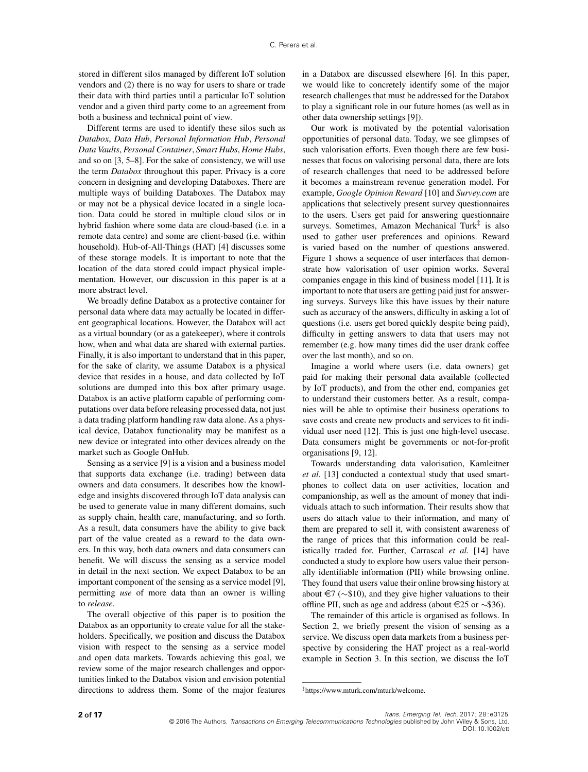stored in different silos managed by different IoT solution vendors and (2) there is no way for users to share or trade their data with third parties until a particular IoT solution vendor and a given third party come to an agreement from both a business and technical point of view.

Different terms are used to identify these silos such as *Databox*, *Data Hub*, *Personal Information Hub*, *Personal Data Vaults*, *Personal Container*, *Smart Hubs*, *Home Hubs*, and so on [\[3,](#page-14-2) [5](#page-14-4)[–8\]](#page-15-0). For the sake of consistency, we will use the term *Databox* throughout this paper. Privacy is a core concern in designing and developing Databoxes. There are multiple ways of building Databoxes. The Databox may or may not be a physical device located in a single location. Data could be stored in multiple cloud silos or in hybrid fashion where some data are cloud-based (i.e. in a remote data centre) and some are client-based (i.e. within household). Hub-of-All-Things (HAT) [\[4\]](#page-14-3) discusses some of these storage models. It is important to note that the location of the data stored could impact physical implementation. However, our discussion in this paper is at a more abstract level.

We broadly define Databox as a protective container for personal data where data may actually be located in different geographical locations. However, the Databox will act as a virtual boundary (or as a gatekeeper), where it controls how, when and what data are shared with external parties. Finally, it is also important to understand that in this paper, for the sake of clarity, we assume Databox is a physical device that resides in a house, and data collected by IoT solutions are dumped into this box after primary usage. Databox is an active platform capable of performing computations over data before releasing processed data, not just a data trading platform handling raw data alone. As a physical device, Databox functionality may be manifest as a new device or integrated into other devices already on the market such as Google OnHub.

Sensing as a service [\[9\]](#page-15-1) is a vision and a business model that supports data exchange (i.e. trading) between data owners and data consumers. It describes how the knowledge and insights discovered through IoT data analysis can be used to generate value in many different domains, such as supply chain, health care, manufacturing, and so forth. As a result, data consumers have the ability to give back part of the value created as a reward to the data owners. In this way, both data owners and data consumers can benefit. We will discuss the sensing as a service model in detail in the next section. We expect Databox to be an important component of the sensing as a service model [\[9\]](#page-15-1), permitting *use* of more data than an owner is willing to *release*.

The overall objective of this paper is to position the Databox as an opportunity to create value for all the stakeholders. Specifically, we position and discuss the Databox vision with respect to the sensing as a service model and open data markets. Towards achieving this goal, we review some of the major research challenges and opportunities linked to the Databox vision and envision potential directions to address them. Some of the major features in a Databox are discussed elsewhere [\[6\]](#page-14-5). In this paper, we would like to concretely identify some of the major research challenges that must be addressed for the Databox to play a significant role in our future homes (as well as in other data ownership settings [\[9\]](#page-15-1)).

Our work is motivated by the potential valorisation opportunities of personal data. Today, we see glimpses of such valorisation efforts. Even though there are few businesses that focus on valorising personal data, there are lots of research challenges that need to be addressed before it becomes a mainstream revenue generation model. For example, *Google Opinion Reward* [\[10\]](#page-15-2) and *Survey.com* are applications that selectively present survey questionnaires to the users. Users get paid for answering questionnaire surveys. Sometimes, Amazon Mechanical Turk $\ddot{\tau}$  is also used to gather user preferences and opinions. Reward is varied based on the number of questions answered. Figure [1](#page-2-0) shows a sequence of user interfaces that demonstrate how valorisation of user opinion works. Several companies engage in this kind of business model [\[11\]](#page-15-3). It is important to note that users are getting paid just for answering surveys. Surveys like this have issues by their nature such as accuracy of the answers, difficulty in asking a lot of questions (i.e. users get bored quickly despite being paid), difficulty in getting answers to data that users may not remember (e.g. how many times did the user drank coffee over the last month), and so on.

Imagine a world where users (i.e. data owners) get paid for making their personal data available (collected by IoT products), and from the other end, companies get to understand their customers better. As a result, companies will be able to optimise their business operations to save costs and create new products and services to fit individual user need [\[12\]](#page-15-4). This is just one high-level usecase. Data consumers might be governments or not-for-profit organisations [\[9,](#page-15-1) [12\]](#page-15-4).

Towards understanding data valorisation, Kamleitner *et al.* [\[13\]](#page-15-5) conducted a contextual study that used smartphones to collect data on user activities, location and companionship, as well as the amount of money that individuals attach to such information. Their results show that users do attach value to their information, and many of them are prepared to sell it, with consistent awareness of the range of prices that this information could be realistically traded for. Further, Carrascal *et al.* [\[14\]](#page-15-6) have conducted a study to explore how users value their personally identifiable information (PII) while browsing online. They found that users value their online browsing history at about  $\in$  7 ( $\sim$ \$10), and they give higher valuations to their offline PII, such as age and address (about  $\in$  25 or  $\sim$ \$36).

The remainder of this article is organised as follows. In Section [2,](#page-2-1) we briefly present the vision of sensing as a service. We discuss open data markets from a business perspective by considering the HAT project as a real-world example in Section [3.](#page-3-0) In this section, we discuss the IoT

© 2016 The Authors. Transactions on Emerging Telecommunications Technologies published by John Wiley & Sons, Ltd. DOI: 10.1002/ett **2 of 17** Trans. Emerging Tel. Tech. 2017; 28:e3125

<span id="page-1-0"></span>[<sup>‡</sup>https://www.mturk.com/mturk/welcome.](https://www.mturk.com/mturk/welcome)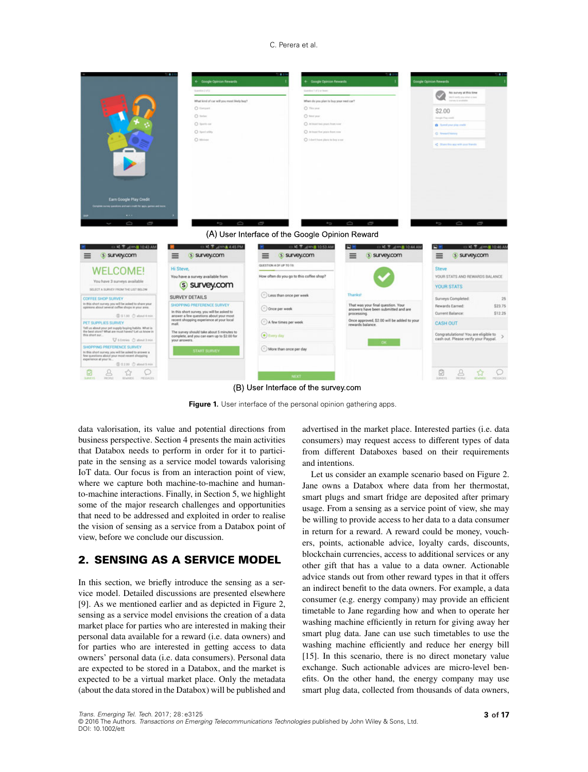#### C. Perera et al.



(B) User Interface of the survey.com

<span id="page-2-0"></span>**Figure 1.** User interface of the personal opinion gathering apps.

data valorisation, its value and potential directions from business perspective. Section [4](#page-7-0) presents the main activities that Databox needs to perform in order for it to participate in the sensing as a service model towards valorising IoT data. Our focus is from an interaction point of view, where we capture both machine-to-machine and humanto-machine interactions. Finally, in Section [5,](#page-8-0) we highlight some of the major research challenges and opportunities that need to be addressed and exploited in order to realise the vision of sensing as a service from a Databox point of view, before we conclude our discussion.

## <span id="page-2-1"></span>**2. SENSING AS A SERVICE MODEL**

In this section, we briefly introduce the sensing as a service model. Detailed discussions are presented elsewhere [\[9\]](#page-15-1). As we mentioned earlier and as depicted in Figure [2,](#page-3-1) sensing as a service model envisions the creation of a data market place for parties who are interested in making their personal data available for a reward (i.e. data owners) and for parties who are interested in getting access to data owners' personal data (i.e. data consumers). Personal data are expected to be stored in a Databox, and the market is expected to be a virtual market place. Only the metadata (about the data stored in the Databox) will be published and advertised in the market place. Interested parties (i.e. data consumers) may request access to different types of data from different Databoxes based on their requirements and intentions.

Let us consider an example scenario based on Figure [2.](#page-3-1) Jane owns a Databox where data from her thermostat, smart plugs and smart fridge are deposited after primary usage. From a sensing as a service point of view, she may be willing to provide access to her data to a data consumer in return for a reward. A reward could be money, vouchers, points, actionable advice, loyalty cards, discounts, blockchain currencies, access to additional services or any other gift that has a value to a data owner. Actionable advice stands out from other reward types in that it offers an indirect benefit to the data owners. For example, a data consumer (e.g. energy company) may provide an efficient timetable to Jane regarding how and when to operate her washing machine efficiently in return for giving away her smart plug data. Jane can use such timetables to use the washing machine efficiently and reduce her energy bill [\[15\]](#page-15-7). In this scenario, there is no direct monetary value exchange. Such actionable advices are micro-level benefits. On the other hand, the energy company may use smart plug data, collected from thousands of data owners,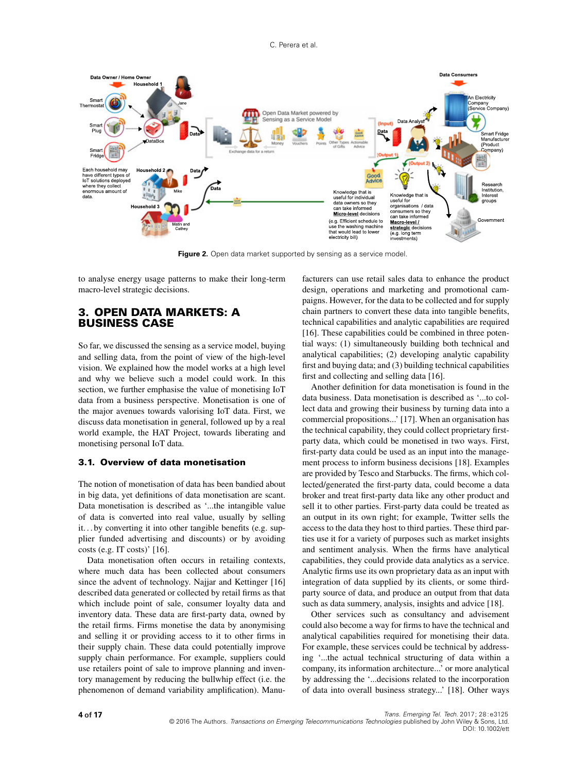

<span id="page-3-1"></span>Figure 2. Open data market supported by sensing as a service model.

to analyse energy usage patterns to make their long-term macro-level strategic decisions.

### <span id="page-3-0"></span>**3. OPEN DATA MARKETS: A BUSINESS CASE**

So far, we discussed the sensing as a service model, buying and selling data, from the point of view of the high-level vision. We explained how the model works at a high level and why we believe such a model could work. In this section, we further emphasise the value of monetising IoT data from a business perspective. Monetisation is one of the major avenues towards valorising IoT data. First, we discuss data monetisation in general, followed up by a real world example, the HAT Project, towards liberating and monetising personal IoT data.

#### **3.1. Overview of data monetisation**

The notion of monetisation of data has been bandied about in big data, yet definitions of data monetisation are scant. Data monetisation is described as '...the intangible value of data is converted into real value, usually by selling it... by converting it into other tangible benefits (e.g. supplier funded advertising and discounts) or by avoiding costs (e.g. IT costs)' [\[16\]](#page-15-8).

Data monetisation often occurs in retailing contexts, where much data has been collected about consumers since the advent of technology. Najjar and Kettinger [\[16\]](#page-15-8) described data generated or collected by retail firms as that which include point of sale, consumer loyalty data and inventory data. These data are first-party data, owned by the retail firms. Firms monetise the data by anonymising and selling it or providing access to it to other firms in their supply chain. These data could potentially improve supply chain performance. For example, suppliers could use retailers point of sale to improve planning and inventory management by reducing the bullwhip effect (i.e. the phenomenon of demand variability amplification). Manufacturers can use retail sales data to enhance the product design, operations and marketing and promotional campaigns. However, for the data to be collected and for supply chain partners to convert these data into tangible benefits, technical capabilities and analytic capabilities are required [\[16\]](#page-15-8). These capabilities could be combined in three potential ways: (1) simultaneously building both technical and analytical capabilities; (2) developing analytic capability first and buying data; and (3) building technical capabilities first and collecting and selling data [\[16\]](#page-15-8).

Another definition for data monetisation is found in the data business. Data monetisation is described as '...to collect data and growing their business by turning data into a commercial propositions...' [\[17\]](#page-15-9). When an organisation has the technical capability, they could collect proprietary firstparty data, which could be monetised in two ways. First, first-party data could be used as an input into the management process to inform business decisions [\[18\]](#page-15-10). Examples are provided by Tesco and Starbucks. The firms, which collected/generated the first-party data, could become a data broker and treat first-party data like any other product and sell it to other parties. First-party data could be treated as an output in its own right; for example, Twitter sells the access to the data they host to third parties. These third parties use it for a variety of purposes such as market insights and sentiment analysis. When the firms have analytical capabilities, they could provide data analytics as a service. Analytic firms use its own proprietary data as an input with integration of data supplied by its clients, or some thirdparty source of data, and produce an output from that data such as data summery, analysis, insights and advice [\[18\]](#page-15-10).

Other services such as consultancy and advisement could also become a way for firms to have the technical and analytical capabilities required for monetising their data. For example, these services could be technical by addressing '...the actual technical structuring of data within a company, its information architecture...' or more analytical by addressing the '...decisions related to the incorporation of data into overall business strategy...' [\[18\]](#page-15-10). Other ways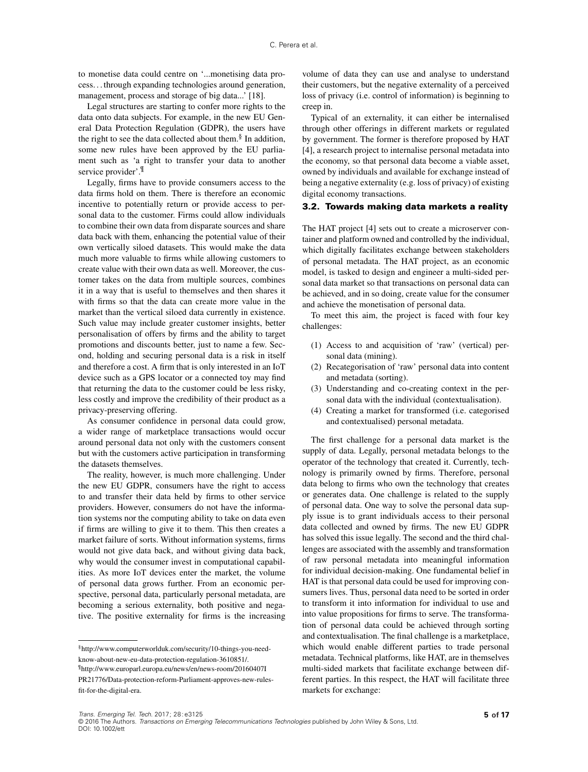to monetise data could centre on '...monetising data process. . . through expanding technologies around generation, management, process and storage of big data...' [\[18\]](#page-15-10).

Legal structures are starting to confer more rights to the data onto data subjects. For example, in the new EU General Data Protection Regulation (GDPR), the users have the right to see the data collected about them. $§$  In addition, some new rules have been approved by the EU parliament such as 'a right to transfer your data to another service provider'.<sup>[¶](#page-4-1)</sup>

Legally, firms have to provide consumers access to the data firms hold on them. There is therefore an economic incentive to potentially return or provide access to personal data to the customer. Firms could allow individuals to combine their own data from disparate sources and share data back with them, enhancing the potential value of their own vertically siloed datasets. This would make the data much more valuable to firms while allowing customers to create value with their own data as well. Moreover, the customer takes on the data from multiple sources, combines it in a way that is useful to themselves and then shares it with firms so that the data can create more value in the market than the vertical siloed data currently in existence. Such value may include greater customer insights, better personalisation of offers by firms and the ability to target promotions and discounts better, just to name a few. Second, holding and securing personal data is a risk in itself and therefore a cost. A firm that is only interested in an IoT device such as a GPS locator or a connected toy may find that returning the data to the customer could be less risky, less costly and improve the credibility of their product as a privacy-preserving offering.

As consumer confidence in personal data could grow, a wider range of marketplace transactions would occur around personal data not only with the customers consent but with the customers active participation in transforming the datasets themselves.

The reality, however, is much more challenging. Under the new EU GDPR, consumers have the right to access to and transfer their data held by firms to other service providers. However, consumers do not have the information systems nor the computing ability to take on data even if firms are willing to give it to them. This then creates a market failure of sorts. Without information systems, firms would not give data back, and without giving data back, why would the consumer invest in computational capabilities. As more IoT devices enter the market, the volume of personal data grows further. From an economic perspective, personal data, particularly personal metadata, are becoming a serious externality, both positive and negative. The positive externality for firms is the increasing

volume of data they can use and analyse to understand their customers, but the negative externality of a perceived loss of privacy (i.e. control of information) is beginning to creep in.

Typical of an externality, it can either be internalised through other offerings in different markets or regulated by government. The former is therefore proposed by HAT [\[4\]](#page-14-3), a research project to internalise personal metadata into the economy, so that personal data become a viable asset, owned by individuals and available for exchange instead of being a negative externality (e.g. loss of privacy) of existing digital economy transactions.

#### <span id="page-4-2"></span>**3.2. Towards making data markets a reality**

The HAT project [\[4\]](#page-14-3) sets out to create a microserver container and platform owned and controlled by the individual, which digitally facilitates exchange between stakeholders of personal metadata. The HAT project, as an economic model, is tasked to design and engineer a multi-sided personal data market so that transactions on personal data can be achieved, and in so doing, create value for the consumer and achieve the monetisation of personal data.

To meet this aim, the project is faced with four key challenges:

- (1) Access to and acquisition of 'raw' (vertical) personal data (mining).
- (2) Recategorisation of 'raw' personal data into content and metadata (sorting).
- (3) Understanding and co-creating context in the personal data with the individual (contextualisation).
- (4) Creating a market for transformed (i.e. categorised and contextualised) personal metadata.

The first challenge for a personal data market is the supply of data. Legally, personal metadata belongs to the operator of the technology that created it. Currently, technology is primarily owned by firms. Therefore, personal data belong to firms who own the technology that creates or generates data. One challenge is related to the supply of personal data. One way to solve the personal data supply issue is to grant individuals access to their personal data collected and owned by firms. The new EU GDPR has solved this issue legally. The second and the third challenges are associated with the assembly and transformation of raw personal metadata into meaningful information for individual decision-making. One fundamental belief in HAT is that personal data could be used for improving consumers lives. Thus, personal data need to be sorted in order to transform it into information for individual to use and into value propositions for firms to serve. The transformation of personal data could be achieved through sorting and contextualisation. The final challenge is a marketplace, which would enable different parties to trade personal metadata. Technical platforms, like HAT, are in themselves multi-sided markets that facilitate exchange between different parties. In this respect, the HAT will facilitate three markets for exchange:

<span id="page-4-1"></span><span id="page-4-0"></span>[<sup>§</sup>http://www.computerworlduk.com/security/10-things-you-need](http://www.computerworlduk.com/security/10-things-you-need-know-about-new-eu-data-protection-regulation-3610851/.)know-about-new-eu-data-protection-regulation-3610851/. ¶http://www.europarl.europa.eu/news/en/news-room/20160407I [PR21776/Data-protec](http://www.europarl.europa.eu/news/en/news-room/20160407IPR21776/Data-protection-reform-Parliament-approves-new-rules-fit-for-the-digital-era.)tion-reform-Parliament-approves-new-rulesfit-for-the-digital-era.

Trans. Emerging Tel. Tech. 2017; 28:e3125 **5 of 17**

<sup>© 2016</sup> The Authors. Transactions on Emerging Telecommunications Technologies published by John Wiley & Sons, Ltd DOI: 10.1002/ett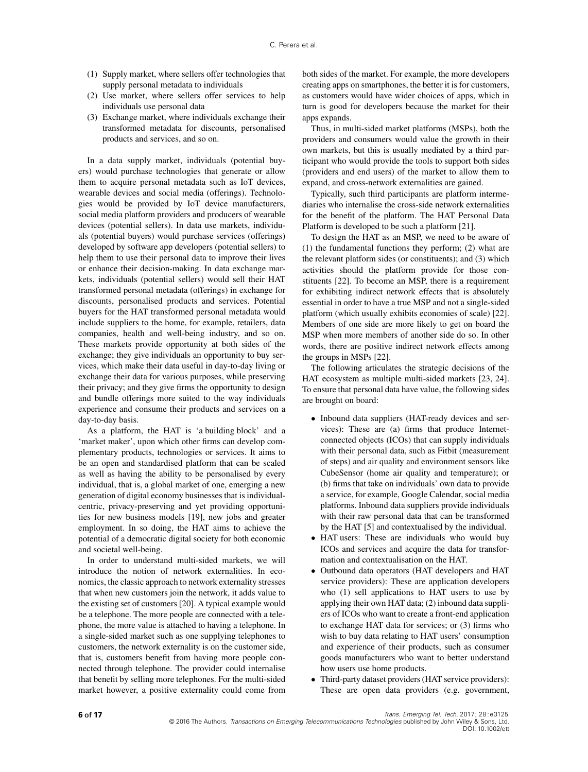- (1) Supply market, where sellers offer technologies that supply personal metadata to individuals
- (2) Use market, where sellers offer services to help individuals use personal data
- (3) Exchange market, where individuals exchange their transformed metadata for discounts, personalised products and services, and so on.

In a data supply market, individuals (potential buyers) would purchase technologies that generate or allow them to acquire personal metadata such as IoT devices, wearable devices and social media (offerings). Technologies would be provided by IoT device manufacturers, social media platform providers and producers of wearable devices (potential sellers). In data use markets, individuals (potential buyers) would purchase services (offerings) developed by software app developers (potential sellers) to help them to use their personal data to improve their lives or enhance their decision-making. In data exchange markets, individuals (potential sellers) would sell their HAT transformed personal metadata (offerings) in exchange for discounts, personalised products and services. Potential buyers for the HAT transformed personal metadata would include suppliers to the home, for example, retailers, data companies, health and well-being industry, and so on. These markets provide opportunity at both sides of the exchange; they give individuals an opportunity to buy services, which make their data useful in day-to-day living or exchange their data for various purposes, while preserving their privacy; and they give firms the opportunity to design and bundle offerings more suited to the way individuals experience and consume their products and services on a day-to-day basis.

As a platform, the HAT is 'a building block' and a 'market maker', upon which other firms can develop complementary products, technologies or services. It aims to be an open and standardised platform that can be scaled as well as having the ability to be personalised by every individual, that is, a global market of one, emerging a new generation of digital economy businesses that is individualcentric, privacy-preserving and yet providing opportunities for new business models [\[19\]](#page-15-11), new jobs and greater employment. In so doing, the HAT aims to achieve the potential of a democratic digital society for both economic and societal well-being.

In order to understand multi-sided markets, we will introduce the notion of network externalities. In economics, the classic approach to network externality stresses that when new customers join the network, it adds value to the existing set of customers [\[20\]](#page-15-12). A typical example would be a telephone. The more people are connected with a telephone, the more value is attached to having a telephone. In a single-sided market such as one supplying telephones to customers, the network externality is on the customer side, that is, customers benefit from having more people connected through telephone. The provider could internalise that benefit by selling more telephones. For the multi-sided market however, a positive externality could come from both sides of the market. For example, the more developers creating apps on smartphones, the better it is for customers, as customers would have wider choices of apps, which in turn is good for developers because the market for their apps expands.

Thus, in multi-sided market platforms (MSPs), both the providers and consumers would value the growth in their own markets, but this is usually mediated by a third participant who would provide the tools to support both sides (providers and end users) of the market to allow them to expand, and cross-network externalities are gained.

Typically, such third participants are platform intermediaries who internalise the cross-side network externalities for the benefit of the platform. The HAT Personal Data Platform is developed to be such a platform [\[21\]](#page-15-13).

To design the HAT as an MSP, we need to be aware of (1) the fundamental functions they perform; (2) what are the relevant platform sides (or constituents); and (3) which activities should the platform provide for those constituents [\[22\]](#page-15-14). To become an MSP, there is a requirement for exhibiting indirect network effects that is absolutely essential in order to have a true MSP and not a single-sided platform (which usually exhibits economies of scale) [\[22\]](#page-15-14). Members of one side are more likely to get on board the MSP when more members of another side do so. In other words, there are positive indirect network effects among the groups in MSPs [\[22\]](#page-15-14).

The following articulates the strategic decisions of the HAT ecosystem as multiple multi-sided markets [\[23,](#page-15-15) [24\]](#page-15-16). To ensure that personal data have value, the following sides are brought on board:

- Inbound data suppliers (HAT-ready devices and services): These are (a) firms that produce Internetconnected objects (ICOs) that can supply individuals with their personal data, such as Fitbit (measurement of steps) and air quality and environment sensors like CubeSensor (home air quality and temperature); or (b) firms that take on individuals' own data to provide a service, for example, Google Calendar, social media platforms. Inbound data suppliers provide individuals with their raw personal data that can be transformed by the HAT [\[5\]](#page-14-4) and contextualised by the individual.
- HAT users: These are individuals who would buy ICOs and services and acquire the data for transformation and contextualisation on the HAT.
- Outbound data operators (HAT developers and HAT service providers): These are application developers who (1) sell applications to HAT users to use by applying their own HAT data; (2) inbound data suppliers of ICOs who want to create a front-end application to exchange HAT data for services; or (3) firms who wish to buy data relating to HAT users' consumption and experience of their products, such as consumer goods manufacturers who want to better understand how users use home products.
- Third-party dataset providers (HAT service providers): These are open data providers (e.g. government,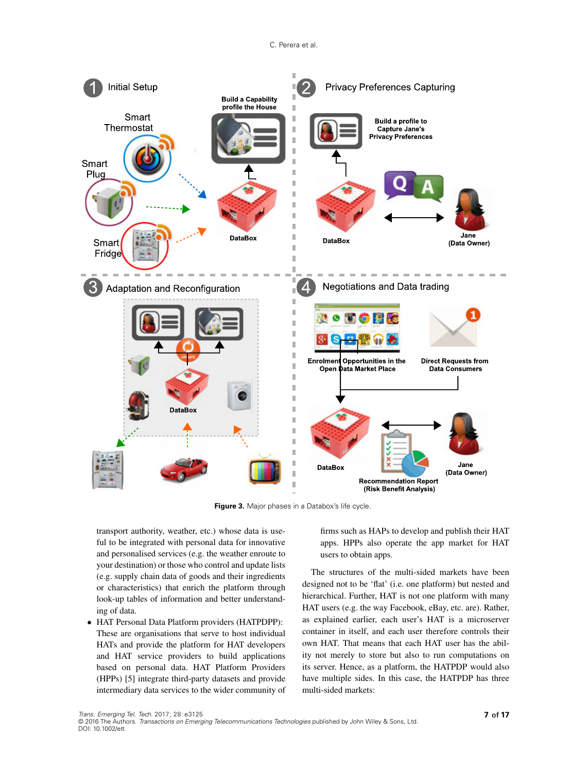

<span id="page-6-0"></span>**Figure 3.** Major phases in a Databox's life cycle.

transport authority, weather, etc.) whose data is useful to be integrated with personal data for innovative and personalised services (e.g. the weather enroute to your destination) or those who control and update lists (e.g. supply chain data of goods and their ingredients or characteristics) that enrich the platform through look-up tables of information and better understanding of data.

 HAT Personal Data Platform providers (HATPDPP): These are organisations that serve to host individual HATs and provide the platform for HAT developers and HAT service providers to build applications based on personal data. HAT Platform Providers (HPPs) [\[5\]](#page-14-4) integrate third-party datasets and provide intermediary data services to the wider community of firms such as HAPs to develop and publish their HAT apps. HPPs also operate the app market for HAT users to obtain apps.

The structures of the multi-sided markets have been designed not to be 'flat' (i.e. one platform) but nested and hierarchical. Further, HAT is not one platform with many HAT users (e.g. the way Facebook, eBay, etc. are). Rather, as explained earlier, each user's HAT is a microserver container in itself, and each user therefore controls their own HAT. That means that each HAT user has the ability not merely to store but also to run computations on its server. Hence, as a platform, the HATPDP would also have multiple sides. In this case, the HATPDP has three multi-sided markets: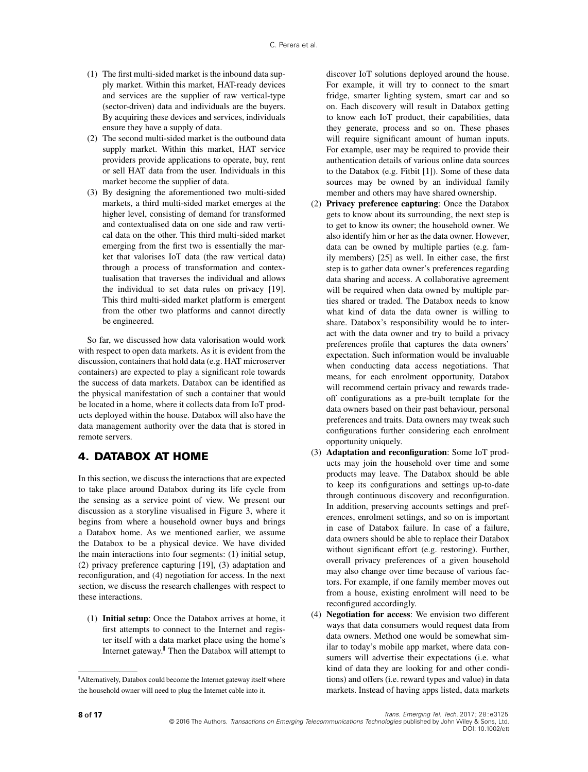- (1) The first multi-sided market is the inbound data supply market. Within this market, HAT-ready devices and services are the supplier of raw vertical-type (sector-driven) data and individuals are the buyers. By acquiring these devices and services, individuals ensure they have a supply of data.
- (2) The second multi-sided market is the outbound data supply market. Within this market, HAT service providers provide applications to operate, buy, rent or sell HAT data from the user. Individuals in this market become the supplier of data.
- (3) By designing the aforementioned two multi-sided markets, a third multi-sided market emerges at the higher level, consisting of demand for transformed and contextualised data on one side and raw vertical data on the other. This third multi-sided market emerging from the first two is essentially the market that valorises IoT data (the raw vertical data) through a process of transformation and contextualisation that traverses the individual and allows the individual to set data rules on privacy [\[19\]](#page-15-11). This third multi-sided market platform is emergent from the other two platforms and cannot directly be engineered.

So far, we discussed how data valorisation would work with respect to open data markets. As it is evident from the discussion, containers that hold data (e.g. HAT microserver containers) are expected to play a significant role towards the success of data markets. Databox can be identified as the physical manifestation of such a container that would be located in a home, where it collects data from IoT products deployed within the house. Databox will also have the data management authority over the data that is stored in remote servers.

## <span id="page-7-0"></span>**4. DATABOX AT HOME**

In this section, we discuss the interactions that are expected to take place around Databox during its life cycle from the sensing as a service point of view. We present our discussion as a storyline visualised in Figure [3,](#page-6-0) where it begins from where a household owner buys and brings a Databox home. As we mentioned earlier, we assume the Databox to be a physical device. We have divided the main interactions into four segments: (1) initial setup, (2) privacy preference capturing [\[19\]](#page-15-11), (3) adaptation and reconfiguration, and (4) negotiation for access. In the next section, we discuss the research challenges with respect to these interactions.

(1) **Initial setup**: Once the Databox arrives at home, it first attempts to connect to the Internet and register itself with a data market place using the home's Internet gateway.<sup>|</sup> Then the Databox will attempt to

discover IoT solutions deployed around the house. For example, it will try to connect to the smart fridge, smarter lighting system, smart car and so on. Each discovery will result in Databox getting to know each IoT product, their capabilities, data they generate, process and so on. These phases will require significant amount of human inputs. For example, user may be required to provide their authentication details of various online data sources to the Databox (e.g. Fitbit [\[1\]](#page-14-0)). Some of these data sources may be owned by an individual family member and others may have shared ownership.

- (2) **Privacy preference capturing**: Once the Databox gets to know about its surrounding, the next step is to get to know its owner; the household owner. We also identify him or her as the data owner. However, data can be owned by multiple parties (e.g. family members) [\[25\]](#page-15-17) as well. In either case, the first step is to gather data owner's preferences regarding data sharing and access. A collaborative agreement will be required when data owned by multiple parties shared or traded. The Databox needs to know what kind of data the data owner is willing to share. Databox's responsibility would be to interact with the data owner and try to build a privacy preferences profile that captures the data owners' expectation. Such information would be invaluable when conducting data access negotiations. That means, for each enrolment opportunity, Databox will recommend certain privacy and rewards tradeoff configurations as a pre-built template for the data owners based on their past behaviour, personal preferences and traits. Data owners may tweak such configurations further considering each enrolment opportunity uniquely.
- (3) **Adaptation and reconfiguration**: Some IoT products may join the household over time and some products may leave. The Databox should be able to keep its configurations and settings up-to-date through continuous discovery and reconfiguration. In addition, preserving accounts settings and preferences, enrolment settings, and so on is important in case of Databox failure. In case of a failure, data owners should be able to replace their Databox without significant effort (e.g. restoring). Further, overall privacy preferences of a given household may also change over time because of various factors. For example, if one family member moves out from a house, existing enrolment will need to be reconfigured accordingly.
- (4) **Negotiation for access**: We envision two different ways that data consumers would request data from data owners. Method one would be somewhat similar to today's mobile app market, where data consumers will advertise their expectations (i.e. what kind of data they are looking for and other conditions) and offers (i.e. reward types and value) in data markets. Instead of having apps listed, data markets

<span id="page-7-1"></span><sup>||</sup>Alternatively, Databox could become the Internet gateway itself where the household owner will need to plug the Internet cable into it.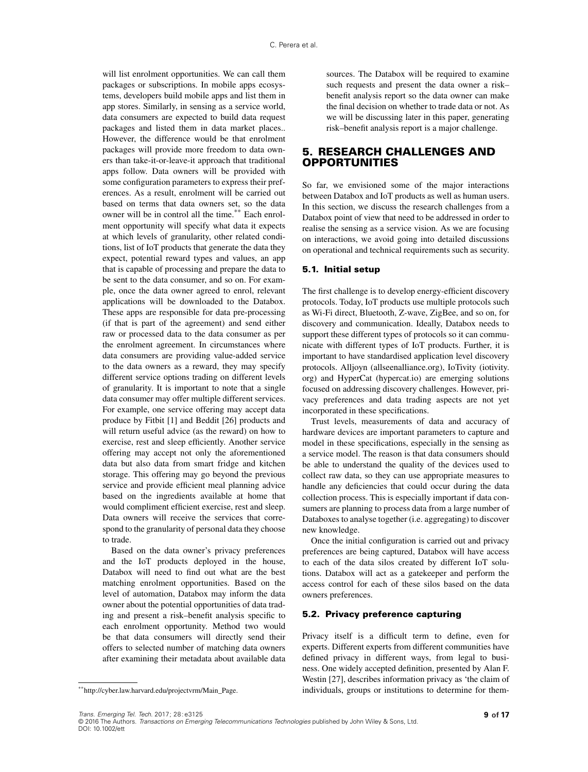will list enrolment opportunities. We can call them packages or subscriptions. In mobile apps ecosystems, developers build mobile apps and list them in app stores. Similarly, in sensing as a service world, data consumers are expected to build data request packages and listed them in data market places.. However, the difference would be that enrolment packages will provide more freedom to data owners than take-it-or-leave-it approach that traditional apps follow. Data owners will be provided with some configuration parameters to express their preferences. As a result, enrolment will be carried out based on terms that data owners set, so the data owner will be in control all the time.[\\*\\*](#page-8-1) Each enrolment opportunity will specify what data it expects at which levels of granularity, other related conditions, list of IoT products that generate the data they expect, potential reward types and values, an app that is capable of processing and prepare the data to be sent to the data consumer, and so on. For example, once the data owner agreed to enrol, relevant applications will be downloaded to the Databox. These apps are responsible for data pre-processing (if that is part of the agreement) and send either raw or processed data to the data consumer as per the enrolment agreement. In circumstances where data consumers are providing value-added service to the data owners as a reward, they may specify different service options trading on different levels of granularity. It is important to note that a single data consumer may offer multiple different services. For example, one service offering may accept data produce by Fitbit [\[1\]](#page-14-0) and Beddit [\[26\]](#page-15-18) products and will return useful advice (as the reward) on how to exercise, rest and sleep efficiently. Another service offering may accept not only the aforementioned data but also data from smart fridge and kitchen storage. This offering may go beyond the previous service and provide efficient meal planning advice based on the ingredients available at home that would compliment efficient exercise, rest and sleep. Data owners will receive the services that correspond to the granularity of personal data they choose to trade.

Based on the data owner's privacy preferences and the IoT products deployed in the house, Databox will need to find out what are the best matching enrolment opportunities. Based on the level of automation, Databox may inform the data owner about the potential opportunities of data trading and present a risk–benefit analysis specific to each enrolment opportunity. Method two would be that data consumers will directly send their offers to selected number of matching data owners after examining their metadata about available data sources. The Databox will be required to examine such requests and present the data owner a risk– benefit analysis report so the data owner can make the final decision on whether to trade data or not. As we will be discussing later in this paper, generating risk–benefit analysis report is a major challenge.

### <span id="page-8-0"></span>**5. RESEARCH CHALLENGES AND OPPORTUNITIES**

So far, we envisioned some of the major interactions between Databox and IoT products as well as human users. In this section, we discuss the research challenges from a Databox point of view that need to be addressed in order to realise the sensing as a service vision. As we are focusing on interactions, we avoid going into detailed discussions on operational and technical requirements such as security.

#### **5.1. Initial setup**

The first challenge is to develop energy-efficient discovery protocols. Today, IoT products use multiple protocols such as Wi-Fi direct, Bluetooth, Z-wave, ZigBee, and so on, for discovery and communication. Ideally, Databox needs to support these different types of protocols so it can communicate with different types of IoT products. Further, it is important to have standardised application level discovery protocols. Alljoyn [\(allseenalliance.org\)](allseenalliance.org), IoTivity [\(iotivity.](iotivity.org) [org\)](iotivity.org) and HyperCat [\(hypercat.io\)](hypercat.io) are emerging solutions focused on addressing discovery challenges. However, privacy preferences and data trading aspects are not yet incorporated in these specifications.

Trust levels, measurements of data and accuracy of hardware devices are important parameters to capture and model in these specifications, especially in the sensing as a service model. The reason is that data consumers should be able to understand the quality of the devices used to collect raw data, so they can use appropriate measures to handle any deficiencies that could occur during the data collection process. This is especially important if data consumers are planning to process data from a large number of Databoxes to analyse together (i.e. aggregating) to discover new knowledge.

Once the initial configuration is carried out and privacy preferences are being captured, Databox will have access to each of the data silos created by different IoT solutions. Databox will act as a gatekeeper and perform the access control for each of these silos based on the data owners preferences.

#### **5.2. Privacy preference capturing**

Privacy itself is a difficult term to define, even for experts. Different experts from different communities have defined privacy in different ways, from legal to business. One widely accepted definition, presented by Alan F. Westin [\[27\]](#page-15-19), describes information privacy as 'the claim of individuals, groups or institutions to determine for them-

<span id="page-8-1"></span><sup>\*</sup>[\\*http://cyber.law.harvard.edu/projectvrm/Main\\_Page.](http://cyber.law.harvard.edu/projectvrm/Main_Page)

<sup>© 2016</sup> The Authors. Transactions on Emerging Telecommunications Technologies published by John Wiley & Sons, Ltd DOI: 10.1002/ett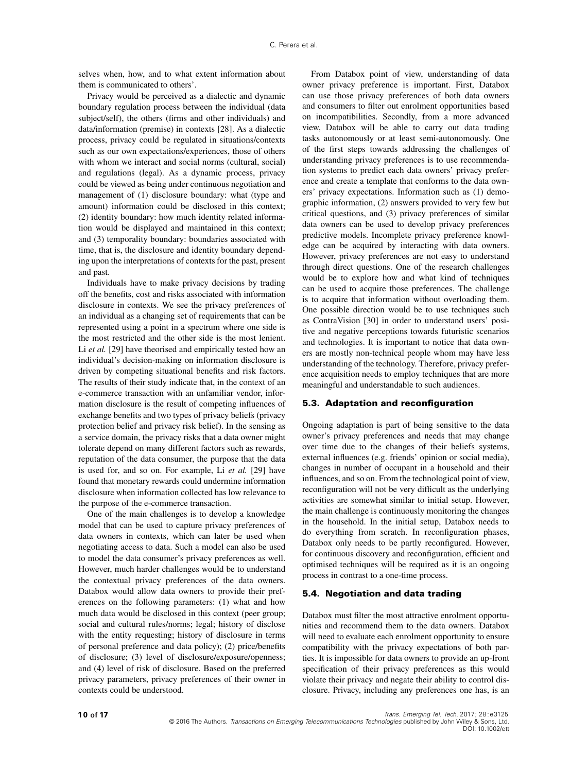selves when, how, and to what extent information about them is communicated to others'.

Privacy would be perceived as a dialectic and dynamic boundary regulation process between the individual (data subject/self), the others (firms and other individuals) and data/information (premise) in contexts [\[28\]](#page-15-20). As a dialectic process, privacy could be regulated in situations/contexts such as our own expectations/experiences, those of others with whom we interact and social norms (cultural, social) and regulations (legal). As a dynamic process, privacy could be viewed as being under continuous negotiation and management of (1) disclosure boundary: what (type and amount) information could be disclosed in this context; (2) identity boundary: how much identity related information would be displayed and maintained in this context; and (3) temporality boundary: boundaries associated with time, that is, the disclosure and identity boundary depending upon the interpretations of contexts for the past, present and past.

Individuals have to make privacy decisions by trading off the benefits, cost and risks associated with information disclosure in contexts. We see the privacy preferences of an individual as a changing set of requirements that can be represented using a point in a spectrum where one side is the most restricted and the other side is the most lenient. Li *et al.* [\[29\]](#page-15-21) have theorised and empirically tested how an individual's decision-making on information disclosure is driven by competing situational benefits and risk factors. The results of their study indicate that, in the context of an e-commerce transaction with an unfamiliar vendor, information disclosure is the result of competing influences of exchange benefits and two types of privacy beliefs (privacy protection belief and privacy risk belief). In the sensing as a service domain, the privacy risks that a data owner might tolerate depend on many different factors such as rewards, reputation of the data consumer, the purpose that the data is used for, and so on. For example, Li *et al.* [\[29\]](#page-15-21) have found that monetary rewards could undermine information disclosure when information collected has low relevance to the purpose of the e-commerce transaction.

One of the main challenges is to develop a knowledge model that can be used to capture privacy preferences of data owners in contexts, which can later be used when negotiating access to data. Such a model can also be used to model the data consumer's privacy preferences as well. However, much harder challenges would be to understand the contextual privacy preferences of the data owners. Databox would allow data owners to provide their preferences on the following parameters: (1) what and how much data would be disclosed in this context (peer group; social and cultural rules/norms; legal; history of disclose with the entity requesting; history of disclosure in terms of personal preference and data policy); (2) price/benefits of disclosure; (3) level of disclosure/exposure/openness; and (4) level of risk of disclosure. Based on the preferred privacy parameters, privacy preferences of their owner in contexts could be understood.

From Databox point of view, understanding of data owner privacy preference is important. First, Databox can use those privacy preferences of both data owners and consumers to filter out enrolment opportunities based on incompatibilities. Secondly, from a more advanced view, Databox will be able to carry out data trading tasks autonomously or at least semi-autonomously. One of the first steps towards addressing the challenges of understanding privacy preferences is to use recommendation systems to predict each data owners' privacy preference and create a template that conforms to the data owners' privacy expectations. Information such as (1) demographic information, (2) answers provided to very few but critical questions, and (3) privacy preferences of similar data owners can be used to develop privacy preferences predictive models. Incomplete privacy preference knowledge can be acquired by interacting with data owners. However, privacy preferences are not easy to understand through direct questions. One of the research challenges would be to explore how and what kind of techniques can be used to acquire those preferences. The challenge is to acquire that information without overloading them. One possible direction would be to use techniques such as ContraVision [\[30\]](#page-15-22) in order to understand users' positive and negative perceptions towards futuristic scenarios and technologies. It is important to notice that data owners are mostly non-technical people whom may have less understanding of the technology. Therefore, privacy preference acquisition needs to employ techniques that are more meaningful and understandable to such audiences.

#### **5.3. Adaptation and reconfiguration**

Ongoing adaptation is part of being sensitive to the data owner's privacy preferences and needs that may change over time due to the changes of their beliefs systems, external influences (e.g. friends' opinion or social media), changes in number of occupant in a household and their influences, and so on. From the technological point of view, reconfiguration will not be very difficult as the underlying activities are somewhat similar to initial setup. However, the main challenge is continuously monitoring the changes in the household. In the initial setup, Databox needs to do everything from scratch. In reconfiguration phases, Databox only needs to be partly reconfigured. However, for continuous discovery and reconfiguration, efficient and optimised techniques will be required as it is an ongoing process in contrast to a one-time process.

#### **5.4. Negotiation and data trading**

Databox must filter the most attractive enrolment opportunities and recommend them to the data owners. Databox will need to evaluate each enrolment opportunity to ensure compatibility with the privacy expectations of both parties. It is impossible for data owners to provide an up-front specification of their privacy preferences as this would violate their privacy and negate their ability to control disclosure. Privacy, including any preferences one has, is an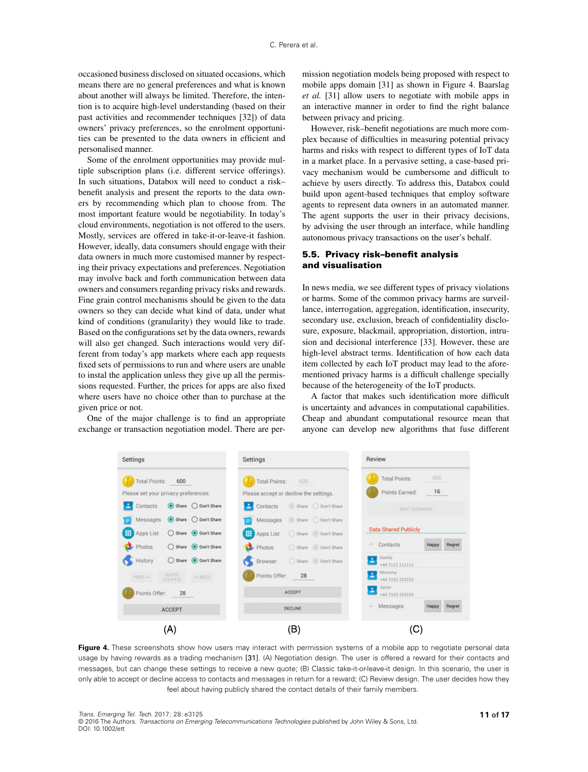occasioned business disclosed on situated occasions, which means there are no general preferences and what is known about another will always be limited. Therefore, the intention is to acquire high-level understanding (based on their past activities and recommender techniques [\[32\]](#page-15-23)) of data owners' privacy preferences, so the enrolment opportunities can be presented to the data owners in efficient and personalised manner.

Some of the enrolment opportunities may provide multiple subscription plans (i.e. different service offerings). In such situations, Databox will need to conduct a risk– benefit analysis and present the reports to the data owners by recommending which plan to choose from. The most important feature would be negotiability. In today's cloud environments, negotiation is not offered to the users. Mostly, services are offered in take-it-or-leave-it fashion. However, ideally, data consumers should engage with their data owners in much more customised manner by respecting their privacy expectations and preferences. Negotiation may involve back and forth communication between data owners and consumers regarding privacy risks and rewards. Fine grain control mechanisms should be given to the data owners so they can decide what kind of data, under what kind of conditions (granularity) they would like to trade. Based on the configurations set by the data owners, rewards will also get changed. Such interactions would very different from today's app markets where each app requests fixed sets of permissions to run and where users are unable to instal the application unless they give up all the permissions requested. Further, the prices for apps are also fixed where users have no choice other than to purchase at the given price or not.

One of the major challenge is to find an appropriate exchange or transaction negotiation model. There are permission negotiation models being proposed with respect to mobile apps domain [\[31\]](#page-15-24) as shown in Figure [4.](#page-10-0) Baarslag *et al.* [\[31\]](#page-15-24) allow users to negotiate with mobile apps in an interactive manner in order to find the right balance between privacy and pricing.

However, risk–benefit negotiations are much more complex because of difficulties in measuring potential privacy harms and risks with respect to different types of IoT data in a market place. In a pervasive setting, a case-based privacy mechanism would be cumbersome and difficult to achieve by users directly. To address this, Databox could build upon agent-based techniques that employ software agents to represent data owners in an automated manner. The agent supports the user in their privacy decisions, by advising the user through an interface, while handling autonomous privacy transactions on the user's behalf.

#### **5.5. Privacy risk–benefit analysis and visualisation**

In news media, we see different types of privacy violations or harms. Some of the common privacy harms are surveillance, interrogation, aggregation, identification, insecurity, secondary use, exclusion, breach of confidentiality disclosure, exposure, blackmail, appropriation, distortion, intrusion and decisional interference [\[33\]](#page-16-0). However, these are high-level abstract terms. Identification of how each data item collected by each IoT product may lead to the aforementioned privacy harms is a difficult challenge specially because of the heterogeneity of the IoT products.

A factor that makes such identification more difficult is uncertainty and advances in computational capabilities. Cheap and abundant computational resource mean that anyone can develop new algorithms that fuse different



<span id="page-10-0"></span>Figure 4. These screenshots show how users may interact with permission systems of a mobile app to negotiate personal data usage by having rewards as a trading mechanism [\[31\]](#page-15-24). (A) Negotiation design. The user is offered a reward for their contacts and messages, but can change these settings to receive a new quote; (B) Classic take-it-or-leave-it design. In this scenario, the user is only able to accept or decline access to contacts and messages in return for a reward; (C) Review design. The user decides how they feel about having publicly shared the contact details of their family members.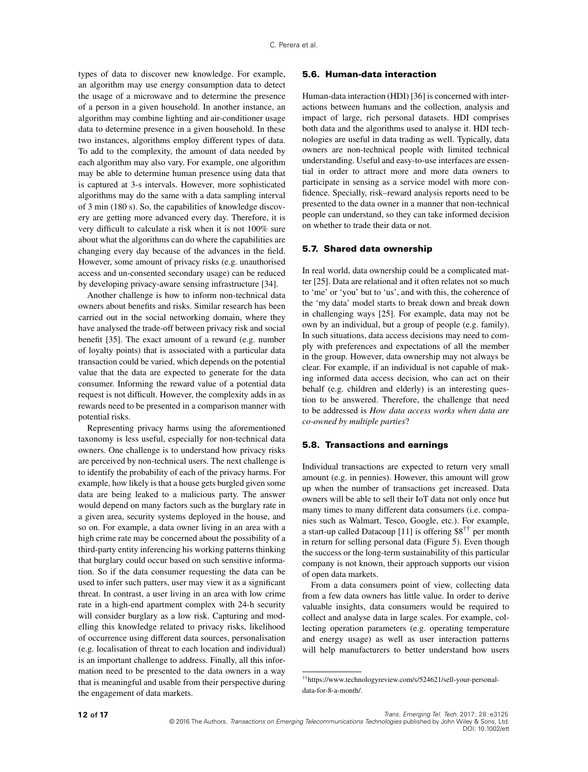types of data to discover new knowledge. For example, an algorithm may use energy consumption data to detect the usage of a microwave and to determine the presence of a person in a given household. In another instance, an algorithm may combine lighting and air-conditioner usage data to determine presence in a given household. In these two instances, algorithms employ different types of data. To add to the complexity, the amount of data needed by each algorithm may also vary. For example, one algorithm may be able to determine human presence using data that is captured at 3-s intervals. However, more sophisticated algorithms may do the same with a data sampling interval of 3 min (180 s). So, the capabilities of knowledge discovery are getting more advanced every day. Therefore, it is very difficult to calculate a risk when it is not 100% sure about what the algorithms can do where the capabilities are changing every day because of the advances in the field. However, some amount of privacy risks (e.g. unauthorised access and un-consented secondary usage) can be reduced by developing privacy-aware sensing infrastructure [\[34\]](#page-16-1).

Another challenge is how to inform non-technical data owners about benefits and risks. Similar research has been carried out in the social networking domain, where they have analysed the trade-off between privacy risk and social benefit [\[35\]](#page-16-2). The exact amount of a reward (e.g. number of loyalty points) that is associated with a particular data transaction could be varied, which depends on the potential value that the data are expected to generate for the data consumer. Informing the reward value of a potential data request is not difficult. However, the complexity adds in as rewards need to be presented in a comparison manner with potential risks.

Representing privacy harms using the aforementioned taxonomy is less useful, especially for non-technical data owners. One challenge is to understand how privacy risks are perceived by non-technical users. The next challenge is to identify the probability of each of the privacy harms. For example, how likely is that a house gets burgled given some data are being leaked to a malicious party. The answer would depend on many factors such as the burglary rate in a given area, security systems deployed in the house, and so on. For example, a data owner living in an area with a high crime rate may be concerned about the possibility of a third-party entity inferencing his working patterns thinking that burglary could occur based on such sensitive information. So if the data consumer requesting the data can be used to infer such patters, user may view it as a significant threat. In contrast, a user living in an area with low crime rate in a high-end apartment complex with 24-h security will consider burglary as a low risk. Capturing and modelling this knowledge related to privacy risks, likelihood of occurrence using different data sources, personalisation (e.g. localisation of threat to each location and individual) is an important challenge to address. Finally, all this information need to be presented to the data owners in a way that is meaningful and usable from their perspective during the engagement of data markets.

#### **5.6. Human-data interaction**

Human-data interaction (HDI) [\[36\]](#page-16-3) is concerned with interactions between humans and the collection, analysis and impact of large, rich personal datasets. HDI comprises both data and the algorithms used to analyse it. HDI technologies are useful in data trading as well. Typically, data owners are non-technical people with limited technical understanding. Useful and easy-to-use interfaces are essential in order to attract more and more data owners to participate in sensing as a service model with more confidence. Specially, risk–reward analysis reports need to be presented to the data owner in a manner that non-technical people can understand, so they can take informed decision on whether to trade their data or not.

#### **5.7. Shared data ownership**

In real world, data ownership could be a complicated matter [\[25\]](#page-15-17). Data are relational and it often relates not so much to 'me' or 'you' but to 'us', and with this, the coherence of the 'my data' model starts to break down and break down in challenging ways [\[25\]](#page-15-17). For example, data may not be own by an individual, but a group of people (e.g. family). In such situations, data access decisions may need to comply with preferences and expectations of all the member in the group. However, data ownership may not always be clear. For example, if an individual is not capable of making informed data access decision, who can act on their behalf (e.g. children and elderly) is an interesting question to be answered. Therefore, the challenge that need to be addressed is *How data access works when data are co-owned by multiple parties*?

#### **5.8. Transactions and earnings**

Individual transactions are expected to return very small amount (e.g. in pennies). However, this amount will grow up when the number of transactions get increased. Data owners will be able to sell their IoT data not only once but many times to many different data consumers (i.e. companies such as Walmart, Tesco, Google, etc.). For example, a start-up called Datacoup [\[11\]](#page-15-3) is offering \$8[††](#page-11-0) per month in return for selling personal data (Figure [5\)](#page-13-0). Even though the success or the long-term sustainability of this particular company is not known, their approach supports our vision of open data markets.

From a data consumers point of view, collecting data from a few data owners has little value. In order to derive valuable insights, data consumers would be required to collect and analyse data in large scales. For example, collecting operation parameters (e.g. operating temperature and energy usage) as well as user interaction patterns will help manufacturers to better understand how users

<span id="page-11-0"></span><sup>††</sup>https://www.technologyreview.com/s/524621/sell-your-personaldata-for-8-a-month/.

<sup>© 2016</sup> The Authors. Transactions on Emerging Telecommunications Technologies published by John Wiley & Sons, Ltd. DOI: 10.1002/ett **1 2 of 17** Trans. Emerging Tel. Tech. 2017; 28:e3125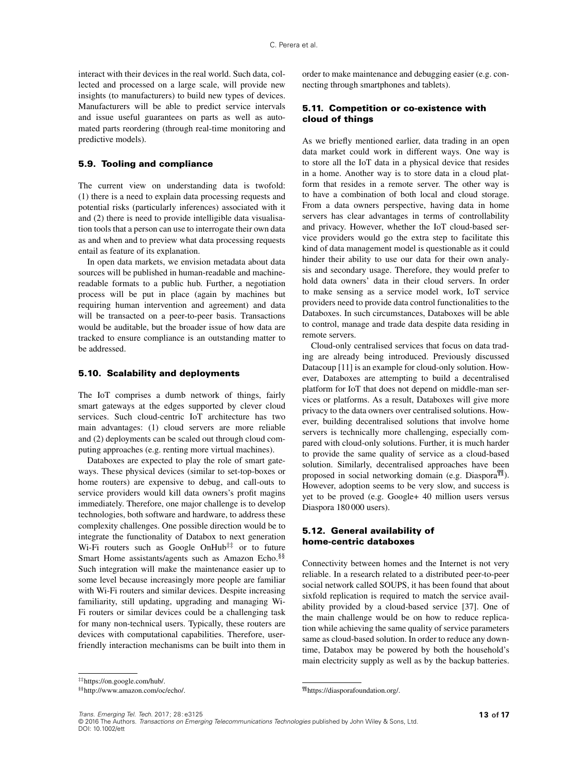interact with their devices in the real world. Such data, collected and processed on a large scale, will provide new insights (to manufacturers) to build new types of devices. Manufacturers will be able to predict service intervals and issue useful guarantees on parts as well as automated parts reordering (through real-time monitoring and predictive models).

#### **5.9. Tooling and compliance**

The current view on understanding data is twofold: (1) there is a need to explain data processing requests and potential risks (particularly inferences) associated with it and (2) there is need to provide intelligible data visualisation tools that a person can use to interrogate their own data as and when and to preview what data processing requests entail as feature of its explanation.

In open data markets, we envision metadata about data sources will be published in human-readable and machinereadable formats to a public hub. Further, a negotiation process will be put in place (again by machines but requiring human intervention and agreement) and data will be transacted on a peer-to-peer basis. Transactions would be auditable, but the broader issue of how data are tracked to ensure compliance is an outstanding matter to be addressed.

#### **5.10. Scalability and deployments**

The IoT comprises a dumb network of things, fairly smart gateways at the edges supported by clever cloud services. Such cloud-centric IoT architecture has two main advantages: (1) cloud servers are more reliable and (2) deployments can be scaled out through cloud computing approaches (e.g. renting more virtual machines).

Databoxes are expected to play the role of smart gateways. These physical devices (similar to set-top-boxes or home routers) are expensive to debug, and call-outs to service providers would kill data owners's profit magins immediately. Therefore, one major challenge is to develop technologies, both software and hardware, to address these complexity challenges. One possible direction would be to integrate the functionality of Databox to next generation Wi-Fi routers such as Google OnHub $\ddagger$ <sup> $\ddagger$ </sup> or to future Smart Home assistants/agents such as Amazon Echo.[§§](#page-12-1) Such integration will make the maintenance easier up to some level because increasingly more people are familiar with Wi-Fi routers and similar devices. Despite increasing familiarity, still updating, upgrading and managing Wi-Fi routers or similar devices could be a challenging task for many non-technical users. Typically, these routers are devices with computational capabilities. Therefore, userfriendly interaction mechanisms can be built into them in

#### **5.11. Competition or co-existence with cloud of things**

As we briefly mentioned earlier, data trading in an open data market could work in different ways. One way is to store all the IoT data in a physical device that resides in a home. Another way is to store data in a cloud platform that resides in a remote server. The other way is to have a combination of both local and cloud storage. From a data owners perspective, having data in home servers has clear advantages in terms of controllability and privacy. However, whether the IoT cloud-based service providers would go the extra step to facilitate this kind of data management model is questionable as it could hinder their ability to use our data for their own analysis and secondary usage. Therefore, they would prefer to hold data owners' data in their cloud servers. In order to make sensing as a service model work, IoT service providers need to provide data control functionalities to the Databoxes. In such circumstances, Databoxes will be able to control, manage and trade data despite data residing in remote servers.

Cloud-only centralised services that focus on data trading are already being introduced. Previously discussed Datacoup [\[11\]](#page-15-3) is an example for cloud-only solution. However, Databoxes are attempting to build a decentralised platform for IoT that does not depend on middle-man services or platforms. As a result, Databoxes will give more privacy to the data owners over centralised solutions. However, building decentralised solutions that involve home servers is technically more challenging, especially compared with cloud-only solutions. Further, it is much harder to provide the same quality of service as a cloud-based solution. Similarly, decentralised approaches have been proposed in social networking domain (e.g. Diaspora<sup>qqu</sup>). However, adoption seems to be very slow, and success is yet to be proved (e.g. Google+ 40 million users versus Diaspora 180 000 users).

#### **5.12. General availability of home-centric databoxes**

<span id="page-12-2"></span>¶¶https://diasporafoundation.org/.

Connectivity between homes and the Internet is not very reliable. In a research related to a distributed peer-to-peer social network called SOUPS, it has been found that about sixfold replication is required to match the service availability provided by a cloud-based service [\[37\]](#page-16-4). One of the main challenge would be on how to reduce replication while achieving the same quality of service parameters same as cloud-based solution. In order to reduce any downtime, Databox may be powered by both the household's main electricity supply as well as by the backup batteries.

Trans. Emerging Tel. Tech. 2017; 28:e3125 **1 3 of 17**

order to make maintenance and debugging easier (e.g. connecting through smartphones and tablets).

<sup>‡‡</sup>https://on.google.com/hub/.

<span id="page-12-1"></span><span id="page-12-0"></span><sup>§§</sup>http://www.amazon.com/oc/echo/.

<sup>© 2016</sup> The Authors. Transactions on Emerging Telecommunications Technologies published by John Wiley & Sons, Ltd DOI: 10.1002/ett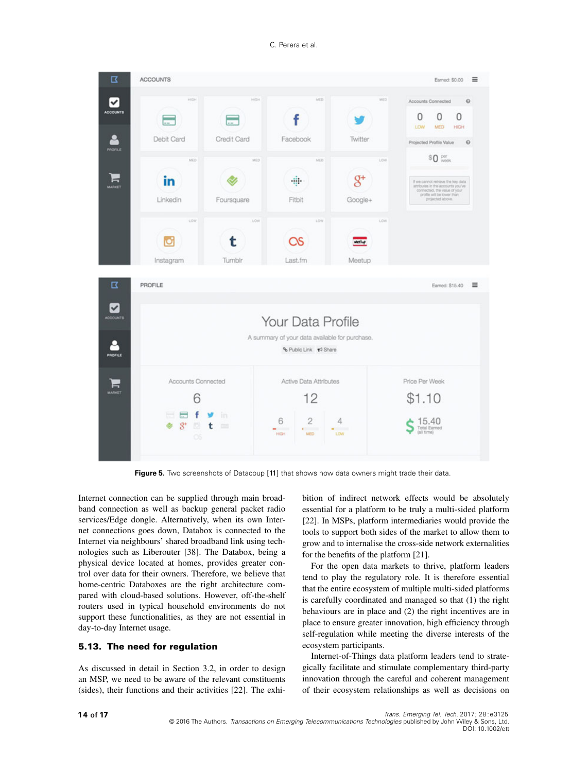

<span id="page-13-0"></span>Figure 5. Two screenshots of Datacoup [\[11\]](#page-15-3) that shows how data owners might trade their data.

Internet connection can be supplied through main broadband connection as well as backup general packet radio services/Edge dongle. Alternatively, when its own Internet connections goes down, Databox is connected to the Internet via neighbours' shared broadband link using technologies such as Liberouter [\[38\]](#page-16-5). The Databox, being a physical device located at homes, provides greater control over data for their owners. Therefore, we believe that home-centric Databoxes are the right architecture compared with cloud-based solutions. However, off-the-shelf routers used in typical household environments do not support these functionalities, as they are not essential in day-to-day Internet usage.

### **5.13. The need for regulation**

As discussed in detail in Section [3.2,](#page-4-2) in order to design an MSP, we need to be aware of the relevant constituents (sides), their functions and their activities [\[22\]](#page-15-14). The exhibition of indirect network effects would be absolutely essential for a platform to be truly a multi-sided platform [\[22\]](#page-15-14). In MSPs, platform intermediaries would provide the tools to support both sides of the market to allow them to grow and to internalise the cross-side network externalities for the benefits of the platform [\[21\]](#page-15-13).

For the open data markets to thrive, platform leaders tend to play the regulatory role. It is therefore essential that the entire ecosystem of multiple multi-sided platforms is carefully coordinated and managed so that (1) the right behaviours are in place and (2) the right incentives are in place to ensure greater innovation, high efficiency through self-regulation while meeting the diverse interests of the ecosystem participants.

Internet-of-Things data platform leaders tend to strategically facilitate and stimulate complementary third-party innovation through the careful and coherent management of their ecosystem relationships as well as decisions on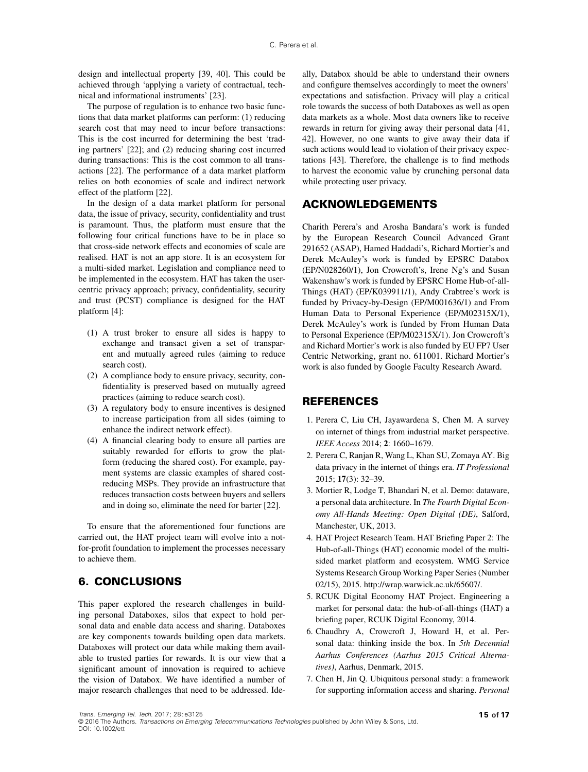design and intellectual property [\[39,](#page-16-6) [40\]](#page-16-7). This could be achieved through 'applying a variety of contractual, technical and informational instruments' [\[23\]](#page-15-15).

The purpose of regulation is to enhance two basic functions that data market platforms can perform: (1) reducing search cost that may need to incur before transactions: This is the cost incurred for determining the best 'trading partners' [\[22\]](#page-15-14); and (2) reducing sharing cost incurred during transactions: This is the cost common to all transactions [\[22\]](#page-15-14). The performance of a data market platform relies on both economies of scale and indirect network effect of the platform [\[22\]](#page-15-14).

In the design of a data market platform for personal data, the issue of privacy, security, confidentiality and trust is paramount. Thus, the platform must ensure that the following four critical functions have to be in place so that cross-side network effects and economies of scale are realised. HAT is not an app store. It is an ecosystem for a multi-sided market. Legislation and compliance need to be implemented in the ecosystem. HAT has taken the usercentric privacy approach; privacy, confidentiality, security and trust (PCST) compliance is designed for the HAT platform [\[4\]](#page-14-3):

- (1) A trust broker to ensure all sides is happy to exchange and transact given a set of transparent and mutually agreed rules (aiming to reduce search cost).
- (2) A compliance body to ensure privacy, security, confidentiality is preserved based on mutually agreed practices (aiming to reduce search cost).
- (3) A regulatory body to ensure incentives is designed to increase participation from all sides (aiming to enhance the indirect network effect).
- (4) A financial clearing body to ensure all parties are suitably rewarded for efforts to grow the platform (reducing the shared cost). For example, payment systems are classic examples of shared costreducing MSPs. They provide an infrastructure that reduces transaction costs between buyers and sellers and in doing so, eliminate the need for barter [\[22\]](#page-15-14).

To ensure that the aforementioned four functions are carried out, the HAT project team will evolve into a notfor-profit foundation to implement the processes necessary to achieve them.

### **6. CONCLUSIONS**

This paper explored the research challenges in building personal Databoxes, silos that expect to hold personal data and enable data access and sharing. Databoxes are key components towards building open data markets. Databoxes will protect our data while making them available to trusted parties for rewards. It is our view that a significant amount of innovation is required to achieve the vision of Databox. We have identified a number of major research challenges that need to be addressed. Ide-

ally, Databox should be able to understand their owners and configure themselves accordingly to meet the owners' expectations and satisfaction. Privacy will play a critical role towards the success of both Databoxes as well as open data markets as a whole. Most data owners like to receive rewards in return for giving away their personal data [\[41,](#page-16-8) [42\]](#page-16-9). However, no one wants to give away their data if such actions would lead to violation of their privacy expectations [\[43\]](#page-16-10). Therefore, the challenge is to find methods to harvest the economic value by crunching personal data while protecting user privacy.

### **ACKNOWLEDGEMENTS**

Charith Perera's and Arosha Bandara's work is funded by the European Research Council Advanced Grant 291652 (ASAP), Hamed Haddadi's, Richard Mortier's and Derek McAuley's work is funded by EPSRC Databox (EP/N028260/1), Jon Crowcroft's, Irene Ng's and Susan Wakenshaw's work is funded by EPSRC Home Hub-of-all-Things (HAT) (EP/K039911/1), Andy Crabtree's work is funded by Privacy-by-Design (EP/M001636/1) and From Human Data to Personal Experience (EP/M02315X/1), Derek McAuley's work is funded by From Human Data to Personal Experience (EP/M02315X/1). Jon Crowcroft's and Richard Mortier's work is also funded by EU FP7 User Centric Networking, grant no. 611001. Richard Mortier's work is also funded by Google Faculty Research Award.

### **REFERENCES**

- <span id="page-14-0"></span>1. Perera C, Liu CH, Jayawardena S, Chen M. A survey on internet of things from industrial market perspective. *IEEE Access* 2014; **2**: 1660–1679.
- <span id="page-14-1"></span>2. Perera C, Ranjan R, Wang L, Khan SU, Zomaya AY. Big data privacy in the internet of things era. *IT Professional* 2015; **17**(3): 32–39.
- <span id="page-14-2"></span>3. Mortier R, Lodge T, Bhandari N, et al. Demo: dataware, a personal data architecture. In *The Fourth Digital Economy All-Hands Meeting: Open Digital (DE)*, Salford, Manchester, UK, 2013.
- <span id="page-14-3"></span>4. HAT Project Research Team. HAT Briefing Paper 2: The Hub-of-all-Things (HAT) economic model of the multisided market platform and ecosystem. WMG Service Systems Research Group Working Paper Series (Number 02/15), 2015. [http://wrap.warwick.ac.uk/65607/.](http://wrap.warwick.ac.uk/65607/)
- <span id="page-14-4"></span>5. RCUK Digital Economy HAT Project. Engineering a market for personal data: the hub-of-all-things (HAT) a briefing paper, RCUK Digital Economy, 2014.
- <span id="page-14-5"></span>6. Chaudhry A, Crowcroft J, Howard H, et al. Personal data: thinking inside the box. In *5th Decennial Aarhus Conferences (Aarhus 2015 Critical Alternatives)*, Aarhus, Denmark, 2015.
- 7. Chen H, Jin Q. Ubiquitous personal study: a framework for supporting information access and sharing. *Personal*

Trans. Emerging Tel. Tech. 2017; 28:e3125 **1 5 of 17**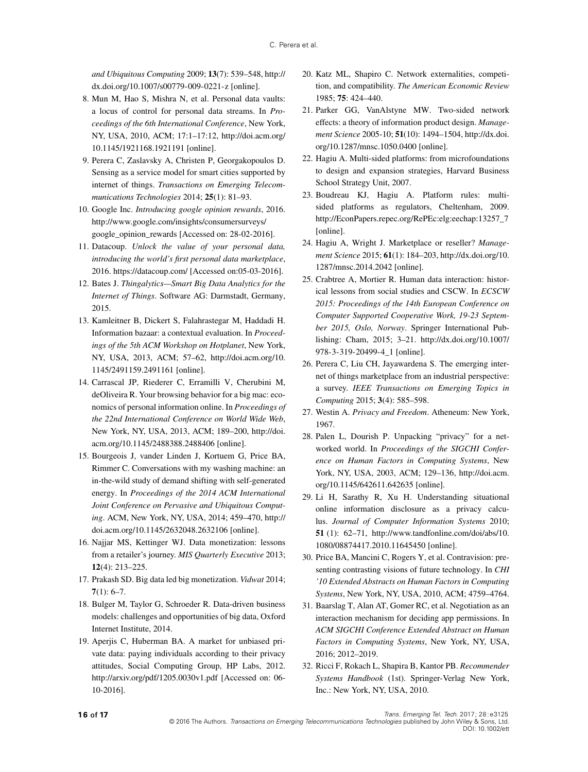*and Ubiquitous Computing* 2009; **13**(7): 539–548, [http://](http://dx.doi.org/10.1007/s00779-009-0221-z) [dx.doi.org/10.1007/s00779-009-0221-z](http://dx.doi.org/10.1007/s00779-009-0221-z) [online].

- <span id="page-15-0"></span>8. Mun M, Hao S, Mishra N, et al. Personal data vaults: a locus of control for personal data streams. In *Proceedings of the 6th International Conference*, New York, NY, USA, 2010, ACM; 17:1–17:12, [http://doi.acm.org/](http://doi.acm.org/10.1145/1921168.1921191) [10.1145/1921168.1921191](http://doi.acm.org/10.1145/1921168.1921191) [online].
- <span id="page-15-1"></span>9. Perera C, Zaslavsky A, Christen P, Georgakopoulos D. Sensing as a service model for smart cities supported by internet of things. *Transactions on Emerging Telecommunications Technologies* 2014; **25**(1): 81–93.
- <span id="page-15-2"></span>10. Google Inc. *Introducing google opinion rewards*, 2016. [http://www.google.com/insights/consumersurveys/](http://www.google.com/insights/consumersurveys/google_opinion_rewards) [google\\_opinion\\_rewards](http://www.google.com/insights/consumersurveys/google_opinion_rewards) [Accessed on: 28-02-2016].
- <span id="page-15-3"></span>11. Datacoup. *Unlock the value of your personal data, introducing the world's first personal data marketplace*, 2016.<https://datacoup.com/> [Accessed on:05-03-2016].
- <span id="page-15-4"></span>12. Bates J. *Thingalytics—Smart Big Data Analytics for the Internet of Things*. Software AG: Darmstadt, Germany, 2015.
- <span id="page-15-5"></span>13. Kamleitner B, Dickert S, Falahrastegar M, Haddadi H. Information bazaar: a contextual evaluation. In *Proceedings of the 5th ACM Workshop on Hotplanet*, New York, NY, USA, 2013, ACM; 57–62, [http://doi.acm.org/10.](http://doi.acm.org/10.1145/2491159.2491161) [1145/2491159.2491161](http://doi.acm.org/10.1145/2491159.2491161) [online].
- <span id="page-15-6"></span>14. Carrascal JP, Riederer C, Erramilli V, Cherubini M, deOliveira R. Your browsing behavior for a big mac: economics of personal information online. In *Proceedings of the 22nd International Conference on World Wide Web*, New York, NY, USA, 2013, ACM; 189–200, [http://doi.](http://doi.acm.org/10.1145/2488388.2488406) [acm.org/10.1145/2488388.2488406](http://doi.acm.org/10.1145/2488388.2488406) [online].
- <span id="page-15-7"></span>15. Bourgeois J, vander Linden J, Kortuem G, Price BA, Rimmer C. Conversations with my washing machine: an in-the-wild study of demand shifting with self-generated energy. In *Proceedings of the 2014 ACM International Joint Conference on Pervasive and Ubiquitous Computing*. ACM, New York, NY, USA, 2014; 459–470, [http://](http://doi.acm.org/10.1145/2632048.2632106) [doi.acm.org/10.1145/2632048.2632106](http://doi.acm.org/10.1145/2632048.2632106) [online].
- <span id="page-15-8"></span>16. Najjar MS, Kettinger WJ. Data monetization: lessons from a retailer's journey. *MIS Quarterly Executive* 2013; **12**(4): 213–225.
- <span id="page-15-9"></span>17. Prakash SD. Big data led big monetization. *Vidwat* 2014; **7**(1): 6–7.
- <span id="page-15-10"></span>18. Bulger M, Taylor G, Schroeder R. Data-driven business models: challenges and opportunities of big data, Oxford Internet Institute, 2014.
- <span id="page-15-11"></span>19. Aperjis C, Huberman BA. A market for unbiased private data: paying individuals according to their privacy attitudes, Social Computing Group, HP Labs, 2012. <http://arxiv.org/pdf/1205.0030v1.pdf> [Accessed on: 06- 10-2016].
- <span id="page-15-12"></span>20. Katz ML, Shapiro C. Network externalities, competition, and compatibility. *The American Economic Review* 1985; **75**: 424–440.
- <span id="page-15-13"></span>21. Parker GG, VanAlstyne MW. Two-sided network effects: a theory of information product design. *Management Science* 2005-10; **51**(10): 1494–1504, [http://dx.doi.](http://dx.doi.org/10.1287/mnsc.1050.0400) [org/10.1287/mnsc.1050.0400](http://dx.doi.org/10.1287/mnsc.1050.0400) [online].
- <span id="page-15-14"></span>22. Hagiu A. Multi-sided platforms: from microfoundations to design and expansion strategies, Harvard Business School Strategy Unit, 2007.
- <span id="page-15-15"></span>23. Boudreau KJ, Hagiu A. Platform rules: multisided platforms as regulators, Cheltenham, 2009. http://EconPapers.repec.org/RePEc:elg:eechap:13257\_7 [online].
- <span id="page-15-16"></span>24. Hagiu A, Wright J. Marketplace or reseller? *Management Science* 2015; **61**(1): 184–203, [http://dx.doi.org/10.](http://dx.doi.org/10.1287/mnsc.2014.2042) [1287/mnsc.2014.2042](http://dx.doi.org/10.1287/mnsc.2014.2042) [online].
- <span id="page-15-17"></span>25. Crabtree A, Mortier R. Human data interaction: historical lessons from social studies and CSCW. In *ECSCW 2015: Proceedings of the 14th European Conference on Computer Supported Cooperative Work, 19-23 September 2015, Oslo, Norway*. Springer International Publishing: Cham, 2015; 3–21. [http://dx.doi.org/10.1007/](http://dx.doi.org/10.1007/978-3-319-20499-4_1) [978-3-319-20499-4\\_1](http://dx.doi.org/10.1007/978-3-319-20499-4_1) [online].
- <span id="page-15-18"></span>26. Perera C, Liu CH, Jayawardena S. The emerging internet of things marketplace from an industrial perspective: a survey. *IEEE Transactions on Emerging Topics in Computing* 2015; **3**(4): 585–598.
- <span id="page-15-19"></span>27. Westin A. *Privacy and Freedom*. Atheneum: New York, 1967.
- <span id="page-15-20"></span>28. Palen L, Dourish P. Unpacking "privacy" for a networked world. In *Proceedings of the SIGCHI Conference on Human Factors in Computing Systems*, New York, NY, USA, 2003, ACM; 129–136, [http://doi.acm.](http://doi.acm.org/10.1145/642611.642635) [org/10.1145/642611.642635](http://doi.acm.org/10.1145/642611.642635) [online].
- <span id="page-15-21"></span>29. Li H, Sarathy R, Xu H. Understanding situational online information disclosure as a privacy calculus. *Journal of Computer Information Systems* 2010; **51** (1): 62–71, [http://www.tandfonline.com/doi/abs/10.](http://www.tandfonline.com/doi/abs/10.1080/08874417.2010.11645450) [1080/08874417.2010.11645450](http://www.tandfonline.com/doi/abs/10.1080/08874417.2010.11645450) [online].
- <span id="page-15-22"></span>30. Price BA, Mancini C, Rogers Y, et al. Contravision: presenting contrasting visions of future technology. In *CHI '10 Extended Abstracts on Human Factors in Computing Systems*, New York, NY, USA, 2010, ACM; 4759–4764.
- <span id="page-15-24"></span>31. Baarslag T, Alan AT, Gomer RC, et al. Negotiation as an interaction mechanism for deciding app permissions. In *ACM SIGCHI Conference Extended Abstract on Human Factors in Computing Systems*, New York, NY, USA, 2016; 2012–2019.
- <span id="page-15-23"></span>32. Ricci F, Rokach L, Shapira B, Kantor PB. *Recommender Systems Handbook* (1st). Springer-Verlag New York, Inc.: New York, NY, USA, 2010.